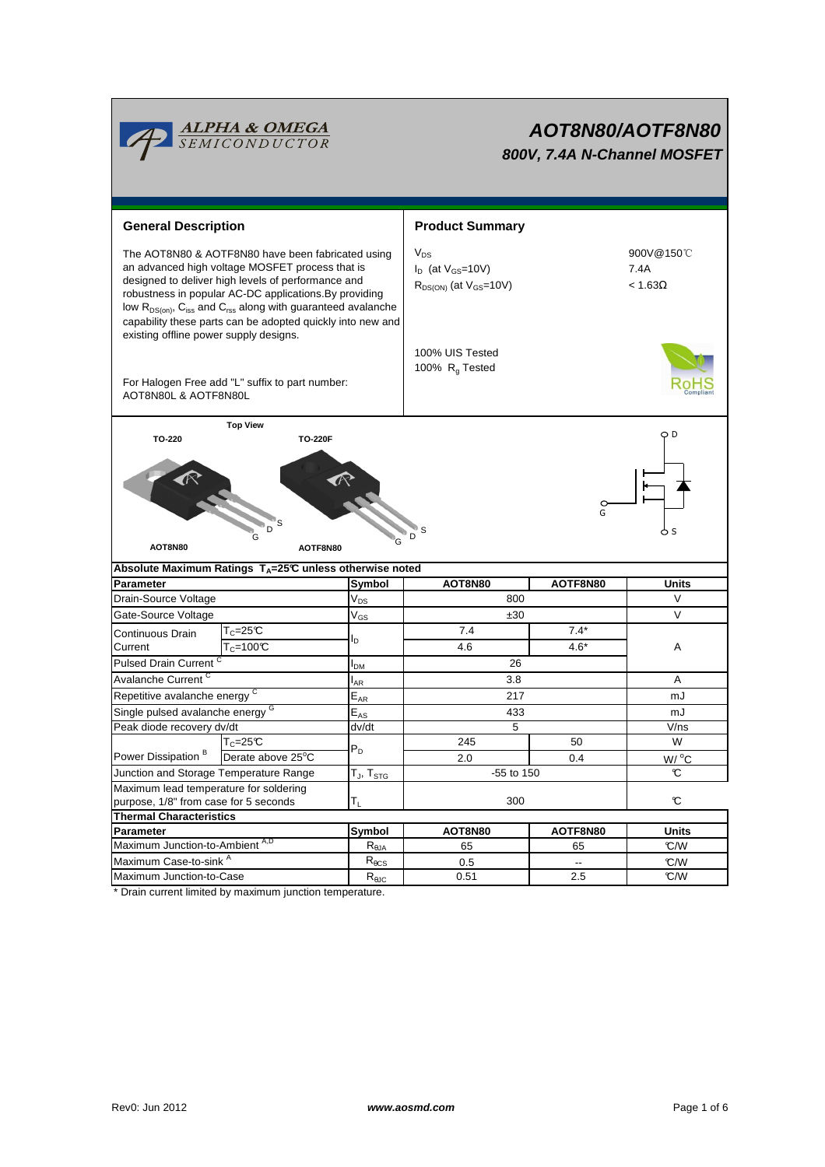

# **AOT8N80/AOTF8N80 800V, 7.4A N-Channel MOSFET**

| <b>General Description</b>                                                                                                                                                                                                                                                                                                                                       |                                                                        |                                | <b>Product Summary</b>                                                  |                                      |                     |  |  |
|------------------------------------------------------------------------------------------------------------------------------------------------------------------------------------------------------------------------------------------------------------------------------------------------------------------------------------------------------------------|------------------------------------------------------------------------|--------------------------------|-------------------------------------------------------------------------|--------------------------------------|---------------------|--|--|
| The AOT8N80 & AOTF8N80 have been fabricated using<br>an advanced high voltage MOSFET process that is<br>designed to deliver high levels of performance and<br>robustness in popular AC-DC applications. By providing<br>low $R_{DS(on)}$ , $C_{iss}$ and $C_{rss}$ along with guaranteed avalanche<br>capability these parts can be adopted quickly into new and |                                                                        |                                | $V_{DS}$<br>$I_D$ (at $V_{GS}$ =10V)<br>$R_{DS(ON)}$ (at $V_{GS}$ =10V) | 900V@150°C<br>7.4A<br>$< 1.63\Omega$ |                     |  |  |
| existing offline power supply designs.<br>For Halogen Free add "L" suffix to part number:<br>AOT8N80L & AOTF8N80L                                                                                                                                                                                                                                                |                                                                        |                                | 100% UIS Tested<br>100% R <sub>a</sub> Tested                           |                                      |                     |  |  |
|                                                                                                                                                                                                                                                                                                                                                                  | <b>Top View</b>                                                        |                                |                                                                         |                                      | O D                 |  |  |
| TO-220<br><b>TO-220F</b><br>G<br>D<br>AOT8N80<br>AOTF8N80                                                                                                                                                                                                                                                                                                        |                                                                        |                                |                                                                         |                                      |                     |  |  |
|                                                                                                                                                                                                                                                                                                                                                                  | Absolute Maximum Ratings $T_A = 25^\circ C$ unless otherwise noted     |                                |                                                                         |                                      |                     |  |  |
| <b>Parameter</b>                                                                                                                                                                                                                                                                                                                                                 |                                                                        | Symbol                         | AOT8N80                                                                 | AOTF8N80                             | <b>Units</b>        |  |  |
| Drain-Source Voltage                                                                                                                                                                                                                                                                                                                                             |                                                                        | $V_{DS}$                       | 800                                                                     |                                      | $\vee$              |  |  |
| Gate-Source Voltage                                                                                                                                                                                                                                                                                                                                              |                                                                        | $V_{GS}$                       | ±30                                                                     |                                      | $\vee$              |  |  |
| Continuous Drain<br>Current                                                                                                                                                                                                                                                                                                                                      | $\mathsf{T}_{\mathbb{C}}$ =25 $\mathbb{C}$<br>$T_c = 100 \overline{C}$ | l <sub>D</sub>                 | 7.4<br>4.6                                                              | $7.4*$<br>$4.6*$                     | A                   |  |  |
| <b>Pulsed Drain Current</b>                                                                                                                                                                                                                                                                                                                                      |                                                                        |                                | 26                                                                      |                                      |                     |  |  |
| Avalanche Current <sup>C</sup>                                                                                                                                                                                                                                                                                                                                   |                                                                        | l <sub>AR</sub>                | 3.8                                                                     | A                                    |                     |  |  |
| Repetitive avalanche energy <sup>C</sup>                                                                                                                                                                                                                                                                                                                         |                                                                        | $E_{AR}$                       | 217                                                                     |                                      | mJ                  |  |  |
| Single pulsed avalanche energy G                                                                                                                                                                                                                                                                                                                                 |                                                                        | $E_{AS}$                       | 433                                                                     |                                      | mJ                  |  |  |
| Peak diode recovery dv/dt                                                                                                                                                                                                                                                                                                                                        |                                                                        | dv/dt                          | 5                                                                       |                                      | V/ns                |  |  |
| Power Dissipation <sup>B</sup>                                                                                                                                                                                                                                                                                                                                   | $T_c = 25C$                                                            | $P_D$                          | 245                                                                     | 50                                   | W                   |  |  |
|                                                                                                                                                                                                                                                                                                                                                                  | Derate above 25°C                                                      |                                | 2.0                                                                     | 0.4                                  | W / C               |  |  |
| Junction and Storage Temperature Range                                                                                                                                                                                                                                                                                                                           |                                                                        | T $_{\sf J},$ T $_{\sf STG}$   | -55 to 150                                                              |                                      | C                   |  |  |
| Maximum lead temperature for soldering<br>purpose, 1/8" from case for 5 seconds                                                                                                                                                                                                                                                                                  |                                                                        | $T_{L}$                        | 300                                                                     |                                      | C                   |  |  |
| <b>Thermal Characteristics</b>                                                                                                                                                                                                                                                                                                                                   |                                                                        |                                |                                                                         |                                      |                     |  |  |
| Parameter<br>Maximum Junction-to-Ambient A,D                                                                                                                                                                                                                                                                                                                     |                                                                        | Symbol<br>$R_{\theta$ JA       | AOT8N80<br>65                                                           | AOTF8N80<br>65                       | <b>Units</b><br>C/W |  |  |
| Maximum Case-to-sink <sup>A</sup>                                                                                                                                                                                                                                                                                                                                |                                                                        | $R_{\theta CS}$                | 0.5                                                                     | $\overline{\phantom{a}}$             | °C/W                |  |  |
| Maximum Junction-to-Case                                                                                                                                                                                                                                                                                                                                         |                                                                        | $\mathsf{R}_{\theta\text{JC}}$ | 0.51                                                                    | 2.5                                  | °C/W                |  |  |
|                                                                                                                                                                                                                                                                                                                                                                  |                                                                        |                                |                                                                         |                                      |                     |  |  |

\* Drain current limited by maximum junction temperature.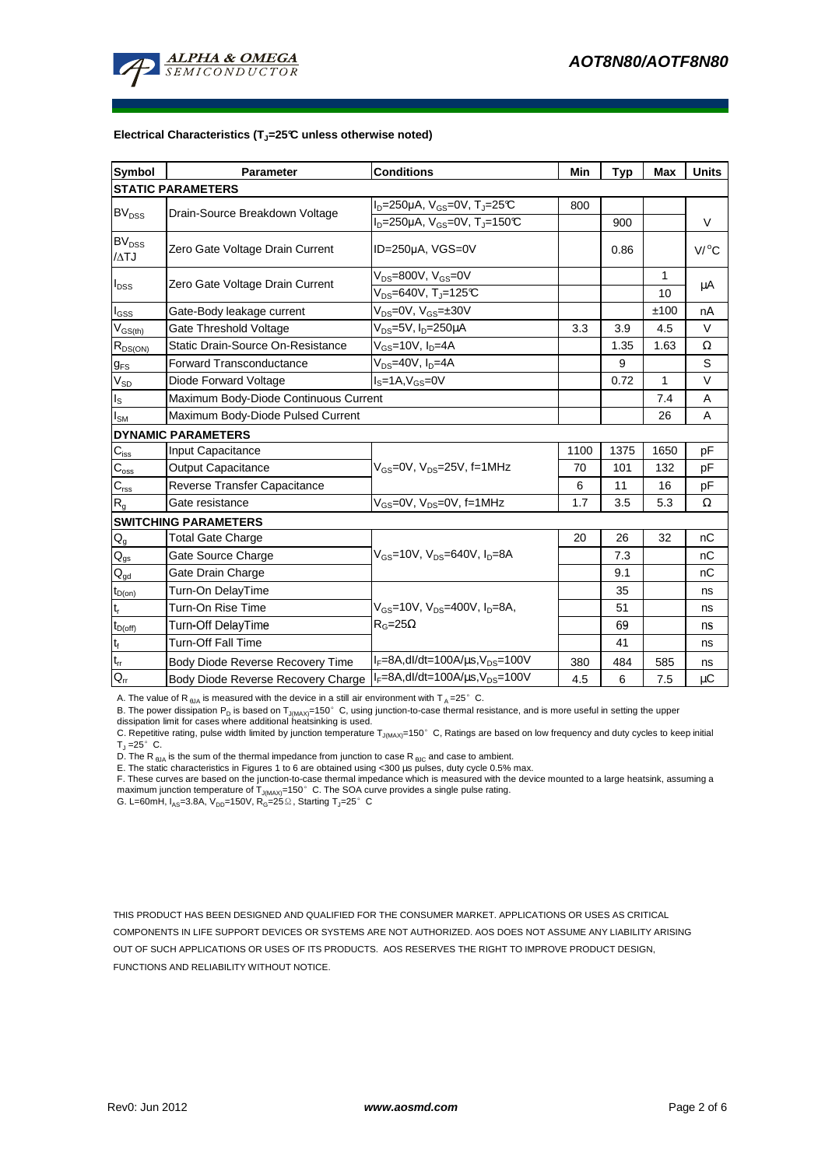

#### **Electrical Characteristics (TJ=25°C unless otherwise noted)**

| <b>Symbol</b>                          | <b>Parameter</b>                         | <b>Conditions</b>                                         | Min  | Typ  | Max          | <b>Units</b> |  |  |  |  |
|----------------------------------------|------------------------------------------|-----------------------------------------------------------|------|------|--------------|--------------|--|--|--|--|
| <b>STATIC PARAMETERS</b>               |                                          |                                                           |      |      |              |              |  |  |  |  |
| <b>BV<sub>DSS</sub></b>                |                                          | $I_D = 250 \mu A$ , $V_{GS} = 0V$ , $T_J = 25 \text{°C}$  | 800  |      |              |              |  |  |  |  |
|                                        | Drain-Source Breakdown Voltage           | $I_D = 250 \mu A$ , $V_{GS} = 0V$ , T <sub>J</sub> =150°C |      | 900  |              | V            |  |  |  |  |
| <b>BV<sub>DSS</sub></b><br>/ATJ        | Zero Gate Voltage Drain Current          | ID=250µA, VGS=0V                                          |      | 0.86 |              | V/°C         |  |  |  |  |
| $I_{DSS}$                              | Zero Gate Voltage Drain Current          | $V_{DS}$ =800V, $V_{GS}$ =0V                              |      |      | 1            | μA           |  |  |  |  |
|                                        |                                          | $V_{DS}$ =640V, T <sub>J</sub> =125°C                     |      |      | 10           |              |  |  |  |  |
| $I_{GSS}$                              | Gate-Body leakage current                | $V_{DS} = 0V$ , $V_{GS} = \pm 30V$                        |      |      | ±100         | nA           |  |  |  |  |
| $V_{GS(th)}$                           | Gate Threshold Voltage                   | $V_{DS}$ =5V, $I_{D}$ =250µA                              | 3.3  | 3.9  | 4.5          | V            |  |  |  |  |
| $R_{DS(ON)}$                           | <b>Static Drain-Source On-Resistance</b> | $V_{GS}$ =10V, $I_D$ =4A                                  |      | 1.35 | 1.63         | $\Omega$     |  |  |  |  |
| $g_{FS}$                               | <b>Forward Transconductance</b>          | $V_{DS}$ =40V, $I_D$ =4A                                  |      | 9    |              | S            |  |  |  |  |
| $V_{SD}$                               | Diode Forward Voltage                    | $IS=1A, VGS=0V$                                           |      | 0.72 | $\mathbf{1}$ | $\vee$       |  |  |  |  |
| $I_{\text{S}}$                         | Maximum Body-Diode Continuous Current    |                                                           |      |      | 7.4          | A            |  |  |  |  |
| $I_{SM}$                               | Maximum Body-Diode Pulsed Current        |                                                           |      | 26   | A            |              |  |  |  |  |
|                                        | <b>DYNAMIC PARAMETERS</b>                |                                                           |      |      |              |              |  |  |  |  |
| $C_{iss}$                              | Input Capacitance                        |                                                           | 1100 | 1375 | 1650         | pF           |  |  |  |  |
| $C_{\rm oss}$                          | <b>Output Capacitance</b>                | $V_{GS}$ =0V, $V_{DS}$ =25V, f=1MHz                       | 70   | 101  | 132          | рF           |  |  |  |  |
| $C_{\rm rss}$                          | Reverse Transfer Capacitance             |                                                           | 6    | 11   | 16           | рF           |  |  |  |  |
| $R_q$                                  | Gate resistance                          | $V_{GS}$ =0V, $V_{DS}$ =0V, f=1MHz                        | 1.7  | 3.5  | 5.3          | Ω            |  |  |  |  |
| <b>SWITCHING PARAMETERS</b>            |                                          |                                                           |      |      |              |              |  |  |  |  |
| $Q_{q}$                                | <b>Total Gate Charge</b>                 |                                                           | 20   | 26   | 32           | nC           |  |  |  |  |
| $\mathsf{Q}_{\underline{\mathsf{gs}}}$ | Gate Source Charge                       | $V_{GS}$ =10V, $V_{DS}$ =640V, $I_{D}$ =8A                |      | 7.3  |              | nС           |  |  |  |  |
| $Q_{qd}$                               | Gate Drain Charge                        |                                                           |      | 9.1  |              | nC           |  |  |  |  |
| $t_{D(on)}$                            | Turn-On DelayTime                        |                                                           |      | 35   |              | ns           |  |  |  |  |
| $\mathsf{t}_{\mathsf{r}}$              | Turn-On Rise Time                        | $V_{GS}$ =10V, $V_{DS}$ =400V, $I_{D}$ =8A,               |      | 51   |              | ns           |  |  |  |  |
| $t_{D(\text{off})}$                    | Turn-Off DelayTime                       | $R_G=25\Omega$                                            |      | 69   |              | ns           |  |  |  |  |
| $\mathbf{t}_\text{f}$                  | <b>Turn-Off Fall Time</b>                |                                                           |      | 41   |              | ns           |  |  |  |  |
| $\mathfrak{t}_{\text{rr}}$             | Body Diode Reverse Recovery Time         | $I_F = 8A$ , dl/dt=100A/ $\mu$ s, V <sub>DS</sub> =100V   | 380  | 484  | 585          | ns           |  |  |  |  |
| $\mathsf{Q}_\mathsf{rr}$               | Body Diode Reverse Recovery Charge       | $I_F = 8A$ , dl/dt=100A/ $\mu$ s, $V_{DS} = 100V$         | 4.5  | 6    | 7.5          | μC           |  |  |  |  |

A. The value of R  $_{\theta$ JA is measured with the device in a still air environment with T  $_{\text{A}}$  = 25° C.

B. The power dissipation P<sub>D</sub> is based on T<sub>J(MAX)</sub>=150°C, using junction-to-case thermal resistance, and is more useful in setting the upper

dissipation limit for cases where additional heatsinking is used.<br>C. Repetitive rating, pulse width limited by junction temperature T<sub>J(MAX)</sub>=150° C, Ratings are based on low frequency and duty cycles to keep initial  $T_J = 25^\circ$  C.

D. The R  $_{\theta$ JA is the sum of the thermal impedance from junction to case R  $_{\theta$ JC and case to ambient.

E. The static characteristics in Figures 1 to 6 are obtained using <300 µs pulses, duty cycle 0.5% max.

F. These curves are based on the junction-to-case thermal impedance which is measured with the device mounted to a large heatsink, assuming a<br>maximum junction temperature of T<sub>JMAX)</sub>=150°C. The SOA curve provides a single

G. L=60mH,  $I_{AS}$ =3.8A, V<sub>DD</sub>=150V, R<sub>G</sub>=25  $\Omega$ , Starting T<sub>J</sub>=25°C

THIS PRODUCT HAS BEEN DESIGNED AND QUALIFIED FOR THE CONSUMER MARKET. APPLICATIONS OR USES AS CRITICAL COMPONENTS IN LIFE SUPPORT DEVICES OR SYSTEMS ARE NOT AUTHORIZED. AOS DOES NOT ASSUME ANY LIABILITY ARISING OUT OF SUCH APPLICATIONS OR USES OF ITS PRODUCTS. AOS RESERVES THE RIGHT TO IMPROVE PRODUCT DESIGN, FUNCTIONS AND RELIABILITY WITHOUT NOTICE.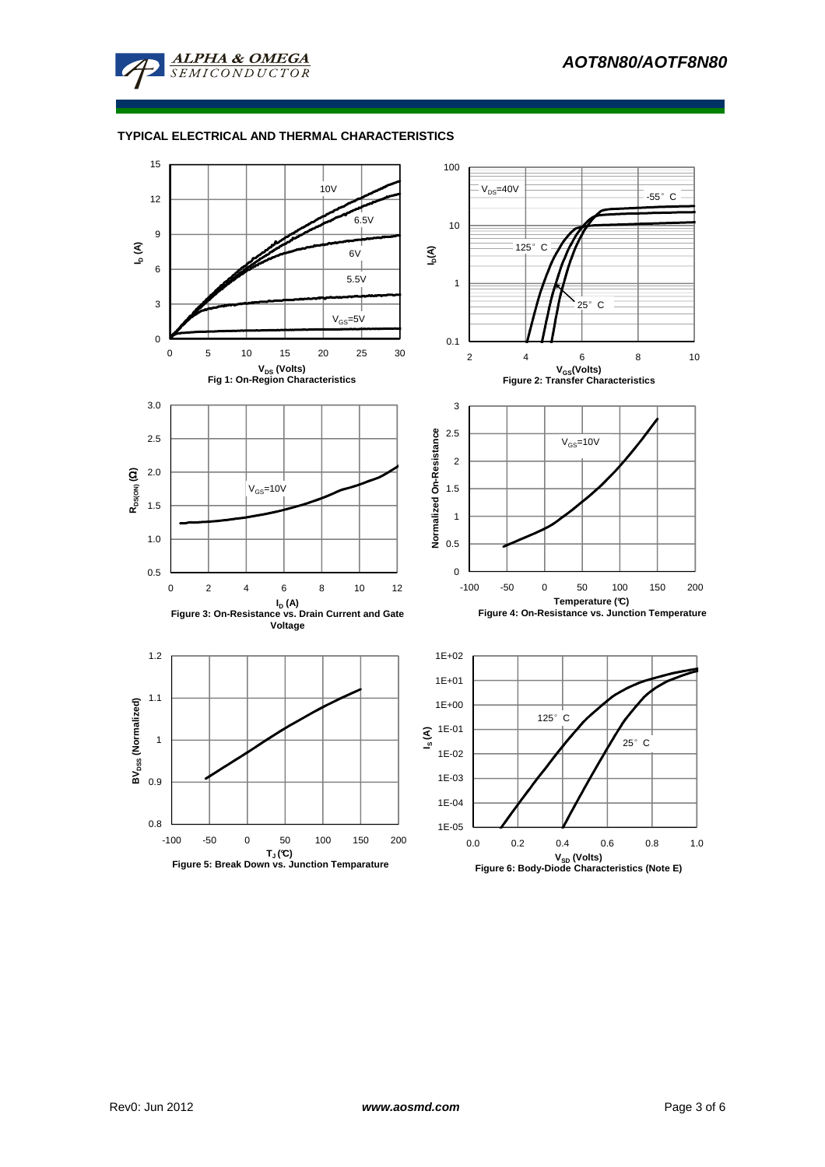

## **TYPICAL ELECTRICAL AND THERMAL CHARACTERISTICS**

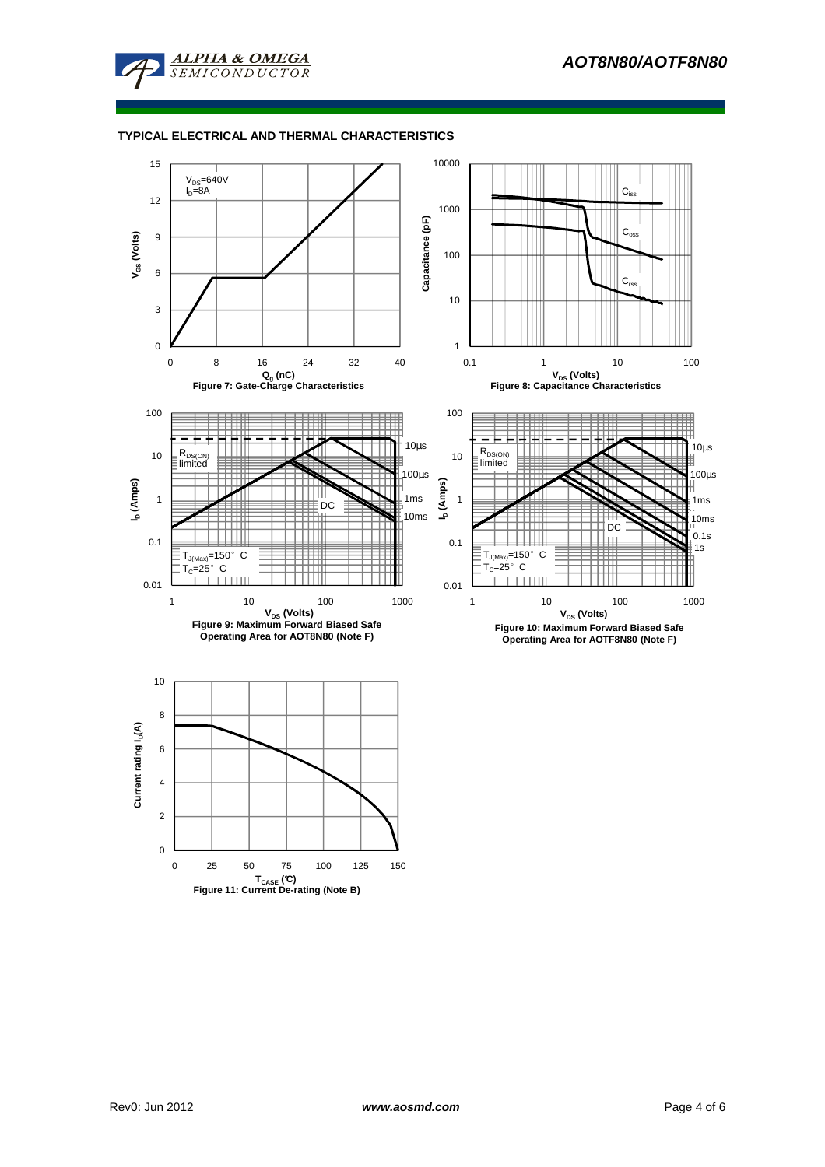![](_page_3_Picture_1.jpeg)

## **TYPICAL ELECTRICAL AND THERMAL CHARACTERISTICS**

![](_page_3_Figure_3.jpeg)

 $\mathbf{0}$ 

0 25 50 75 100 125 150

**TCASE (°C) Figure 11: Current De-rating (Note B)**

2

4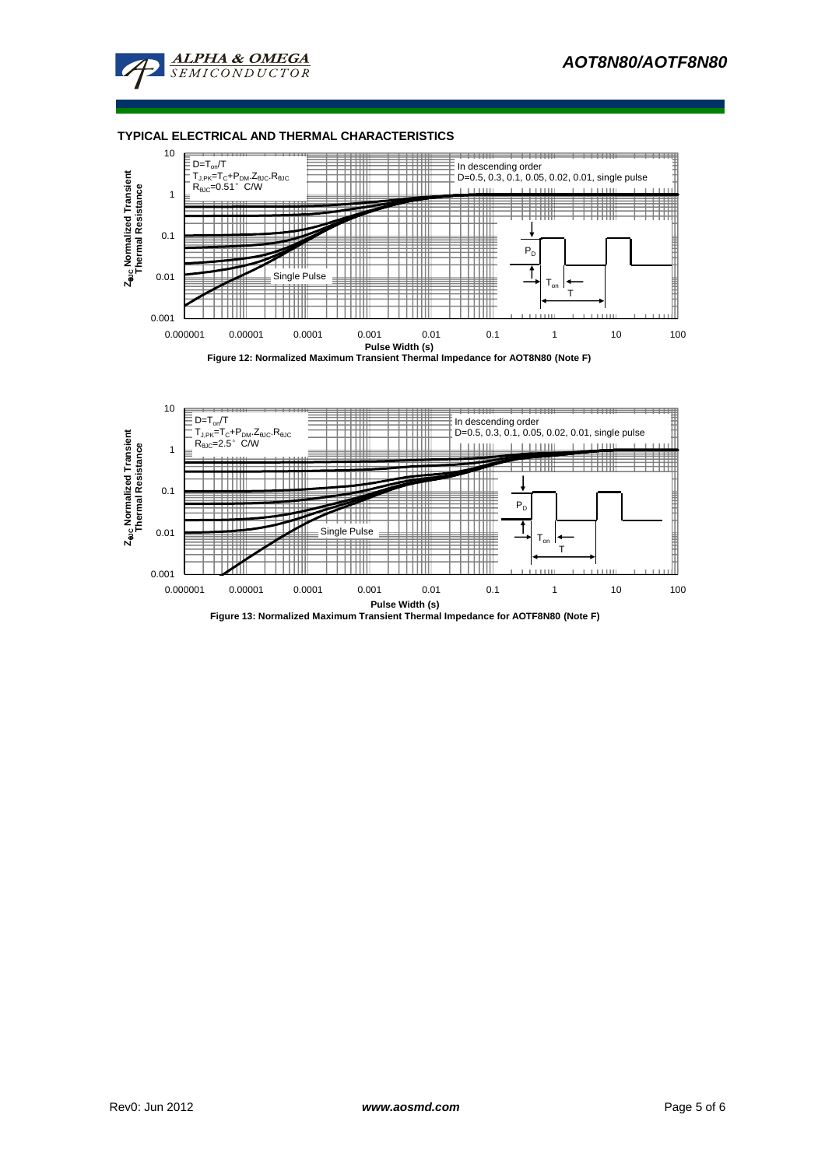![](_page_4_Picture_1.jpeg)

#### **TYPICAL ELECTRICAL AND THERMAL CHARACTERISTICS**

![](_page_4_Figure_3.jpeg)

![](_page_4_Figure_4.jpeg)